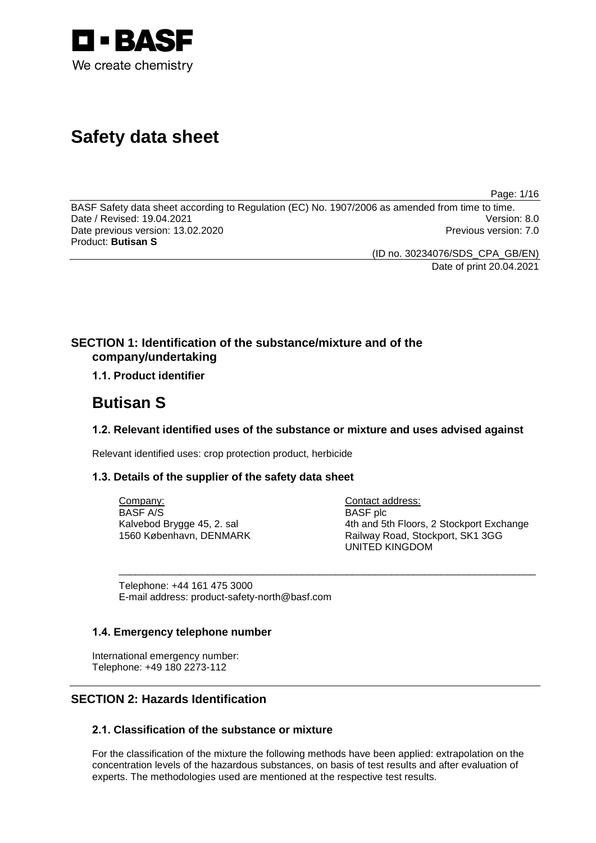

# **Safety data sheet**

Page: 1/16

BASF Safety data sheet according to Regulation (EC) No. 1907/2006 as amended from time to time.<br>Date / Revised: 19.04.2021 Date / Revised: 19.04.2021 Date previous version: 13.02.2020 **Previous version: 7.0** Previous version: 7.0 Product: **Butisan S**

> (ID no. 30234076/SDS\_CPA\_GB/EN) Date of print 20.04.2021

# **SECTION 1: Identification of the substance/mixture and of the company/undertaking**

# **1.1. Product identifier**

# **Butisan S**

## **1.2. Relevant identified uses of the substance or mixture and uses advised against**

\_\_\_\_\_\_\_\_\_\_\_\_\_\_\_\_\_\_\_\_\_\_\_\_\_\_\_\_\_\_\_\_\_\_\_\_\_\_\_\_\_\_\_\_\_\_\_\_\_\_\_\_\_\_\_\_\_\_\_\_\_\_\_\_\_\_\_\_\_\_\_\_\_\_\_

Relevant identified uses: crop protection product, herbicide

## **1.3. Details of the supplier of the safety data sheet**

Company: BASF A/S Kalvebod Brygge 45, 2. sal 1560 København, DENMARK Contact address: BASF plc 4th and 5th Floors, 2 Stockport Exchange Railway Road, Stockport, SK1 3GG UNITED KINGDOM

Telephone: +44 161 475 3000 E-mail address: product-safety-north@basf.com

## **1.4. Emergency telephone number**

International emergency number: Telephone: +49 180 2273-112

# **SECTION 2: Hazards Identification**

## **2.1. Classification of the substance or mixture**

For the classification of the mixture the following methods have been applied: extrapolation on the concentration levels of the hazardous substances, on basis of test results and after evaluation of experts. The methodologies used are mentioned at the respective test results.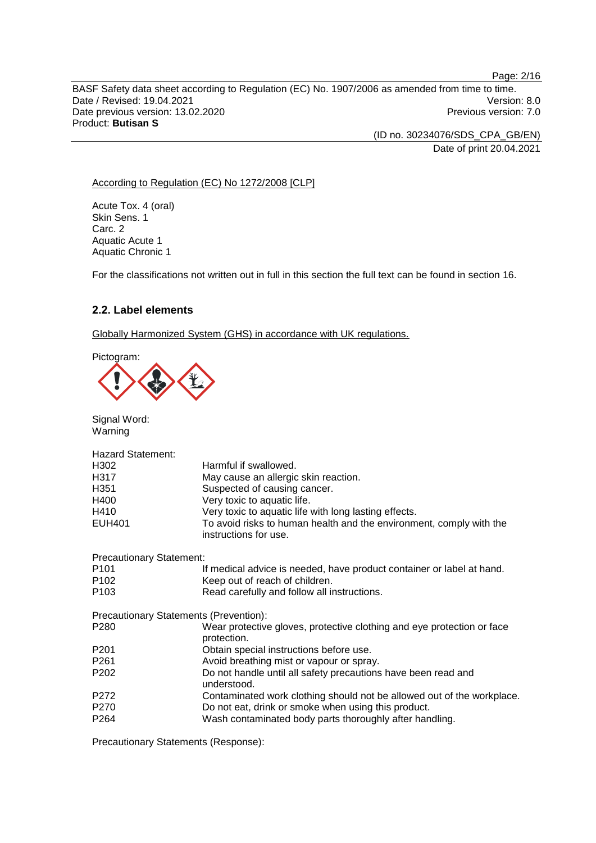BASF Safety data sheet according to Regulation (EC) No. 1907/2006 as amended from time to time. Date / Revised: 19.04.2021 Version: 8.0<br>Date previous version: 13.02.2020 Version: 7.0 Date previous version: 13.02.2020 Product: **Butisan S**

> (ID no. 30234076/SDS\_CPA\_GB/EN) Date of print 20.04.2021

According to Regulation (EC) No 1272/2008 [CLP]

Acute Tox. 4 (oral) Skin Sens. 1 Carc. 2 Aquatic Acute 1 Aquatic Chronic 1

For the classifications not written out in full in this section the full text can be found in section 16.

## **2.2. Label elements**

Globally Harmonized System (GHS) in accordance with UK regulations.

Pictogram:



Signal Word: Warning

| <b>Hazard Statement:</b>        |                                                                                              |
|---------------------------------|----------------------------------------------------------------------------------------------|
| H302                            | Harmful if swallowed.                                                                        |
| H317                            | May cause an allergic skin reaction.                                                         |
| H <sub>351</sub>                | Suspected of causing cancer.                                                                 |
| H400                            | Very toxic to aquatic life.                                                                  |
| H410                            | Very toxic to aquatic life with long lasting effects.                                        |
| <b>EUH401</b>                   | To avoid risks to human health and the environment, comply with the<br>instructions for use. |
| <b>Precautionary Statement:</b> |                                                                                              |
| P <sub>101</sub>                | If medical advice is needed, have product container or label at hand.                        |
| P <sub>102</sub>                | Keep out of reach of children.                                                               |
| P <sub>103</sub>                | Read carefully and follow all instructions.                                                  |
|                                 | Precautionary Statements (Prevention):                                                       |
| P <sub>280</sub>                | Wear protective gloves, protective clothing and eye protection or face<br>protection.        |
| P <sub>201</sub>                | Obtain special instructions before use.                                                      |
| P <sub>261</sub>                | Avoid breathing mist or vapour or spray.                                                     |
| P <sub>202</sub>                | Do not handle until all safety precautions have been read and<br>understood.                 |
| P272                            | Contaminated work clothing should not be allowed out of the workplace.                       |
| P270                            | Do not eat, drink or smoke when using this product.                                          |
| P <sub>264</sub>                | Wash contaminated body parts thoroughly after handling.                                      |
|                                 |                                                                                              |

Precautionary Statements (Response):

Page: 2/16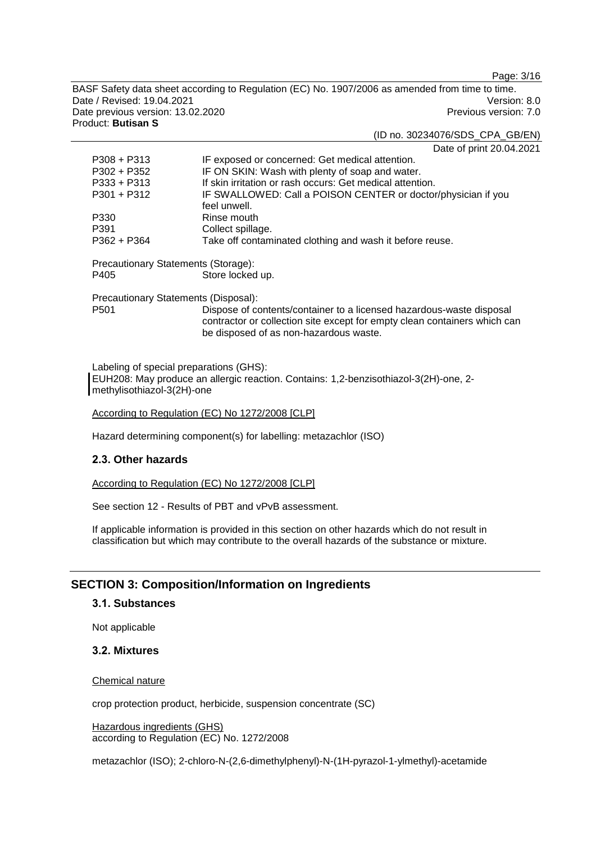Page: 3/16

BASF Safety data sheet according to Regulation (EC) No. 1907/2006 as amended from time to time. Date / Revised: 19.04.2021 **Version: 8.0** Date previous version: 13.02.2020 **Previous version: 7.0** Previous version: 7.0 Product: **Butisan S**

#### (ID no. 30234076/SDS\_CPA\_GB/EN)

Date of print 20.04.2021

| $P308 + P313$                        | IF exposed or concerned: Get medical attention.               |  |
|--------------------------------------|---------------------------------------------------------------|--|
| $P302 + P352$                        | IF ON SKIN: Wash with plenty of soap and water.               |  |
| $P333 + P313$                        | If skin irritation or rash occurs: Get medical attention.     |  |
| $P301 + P312$                        | IF SWALLOWED: Call a POISON CENTER or doctor/physician if you |  |
|                                      | feel unwell.                                                  |  |
| P330                                 | Rinse mouth                                                   |  |
| P391                                 | Collect spillage.                                             |  |
| $P362 + P364$                        | Take off contaminated clothing and wash it before reuse.      |  |
| Precautionary Statements (Storage):  |                                                               |  |
| P405                                 | Store locked up.                                              |  |
| Precautionary Statements (Disposal): |                                                               |  |
| P <sub>501</sub>                     |                                                               |  |

Labeling of special preparations (GHS): EUH208: May produce an allergic reaction. Contains: 1,2-benzisothiazol-3(2H)-one, 2 methylisothiazol-3(2H)-one

According to Regulation (EC) No 1272/2008 [CLP]

Hazard determining component(s) for labelling: metazachlor (ISO)

## **2.3. Other hazards**

According to Regulation (EC) No 1272/2008 [CLP]

See section 12 - Results of PBT and vPvB assessment.

If applicable information is provided in this section on other hazards which do not result in classification but which may contribute to the overall hazards of the substance or mixture.

## **SECTION 3: Composition/Information on Ingredients**

#### **3.1. Substances**

Not applicable

#### **3.2. Mixtures**

#### Chemical nature

crop protection product, herbicide, suspension concentrate (SC)

Hazardous ingredients (GHS) according to Regulation (EC) No. 1272/2008

metazachlor (ISO); 2-chloro-N-(2,6-dimethylphenyl)-N-(1H-pyrazol-1-ylmethyl)-acetamide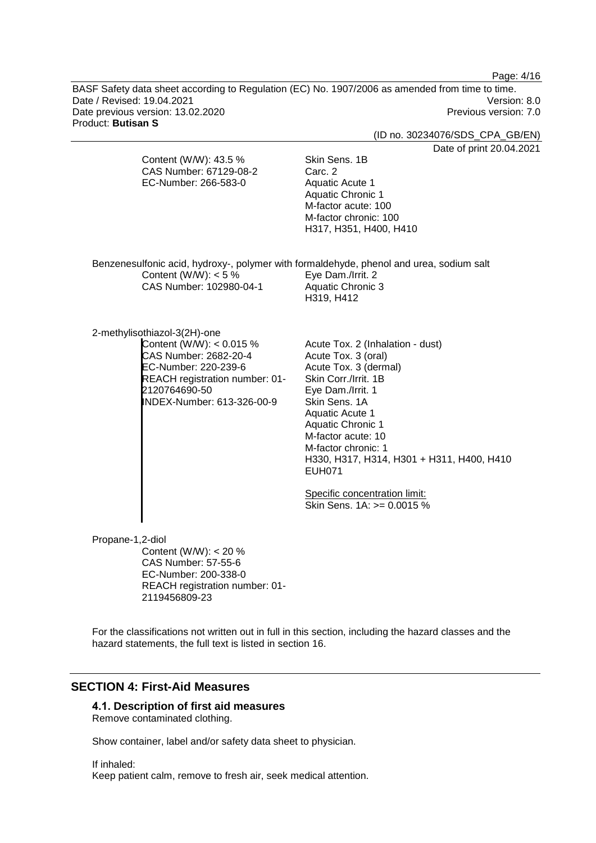Page: 4/16

BASF Safety data sheet according to Regulation (EC) No. 1907/2006 as amended from time to time. Date / Revised: 19.04.2021 Version: 8.0<br>Date previous version: 13.02.2020 Version: 7.0 Date previous version: 13.02.2020 Product: **Butisan S**

(ID no. 30234076/SDS\_CPA\_GB/EN)

04.2021

|                  |                                                                                                                                                                                              | Date of print 20.0                                                                                                                                                                                                                                                                                                                                                      |
|------------------|----------------------------------------------------------------------------------------------------------------------------------------------------------------------------------------------|-------------------------------------------------------------------------------------------------------------------------------------------------------------------------------------------------------------------------------------------------------------------------------------------------------------------------------------------------------------------------|
|                  | Content (W/W): 43.5 %<br>CAS Number: 67129-08-2<br>EC-Number: 266-583-0                                                                                                                      | Skin Sens. 1B<br>Carc. 2<br><b>Aquatic Acute 1</b><br><b>Aquatic Chronic 1</b><br>M-factor acute: 100<br>M-factor chronic: 100<br>H317, H351, H400, H410                                                                                                                                                                                                                |
|                  | Content (W/W): $<$ 5 %<br>CAS Number: 102980-04-1                                                                                                                                            | Benzenesulfonic acid, hydroxy-, polymer with formaldehyde, phenol and urea, sodium salt<br>Eye Dam./Irrit. 2<br><b>Aquatic Chronic 3</b><br>H319, H412                                                                                                                                                                                                                  |
|                  | 2-methylisothiazol-3(2H)-one<br>Content (W/W): $< 0.015$ %<br>CAS Number: 2682-20-4<br>EC-Number: 220-239-6<br>REACH registration number: 01-<br>2120764690-50<br>INDEX-Number: 613-326-00-9 | Acute Tox. 2 (Inhalation - dust)<br>Acute Tox. 3 (oral)<br>Acute Tox. 3 (dermal)<br>Skin Corr./Irrit. 1B<br>Eye Dam./Irrit. 1<br>Skin Sens, 1A<br>Aquatic Acute 1<br><b>Aquatic Chronic 1</b><br>M-factor acute: 10<br>M-factor chronic: 1<br>H330, H317, H314, H301 + H311, H400, H410<br><b>EUH071</b><br>Specific concentration limit:<br>Skin Sens. 1A: >= 0.0015 % |
| Propane-1,2-diol | Content (W/W): $<$ 20 %<br><b>CAS Number: 57-55-6</b><br>EC-Number: 200-338-0<br>REACH registration number: 01-<br>2119456809-23                                                             |                                                                                                                                                                                                                                                                                                                                                                         |

For the classifications not written out in full in this section, including the hazard classes and the hazard statements, the full text is listed in section 16.

# **SECTION 4: First-Aid Measures**

## **4.1. Description of first aid measures**

Remove contaminated clothing.

Show container, label and/or safety data sheet to physician.

If inhaled: Keep patient calm, remove to fresh air, seek medical attention.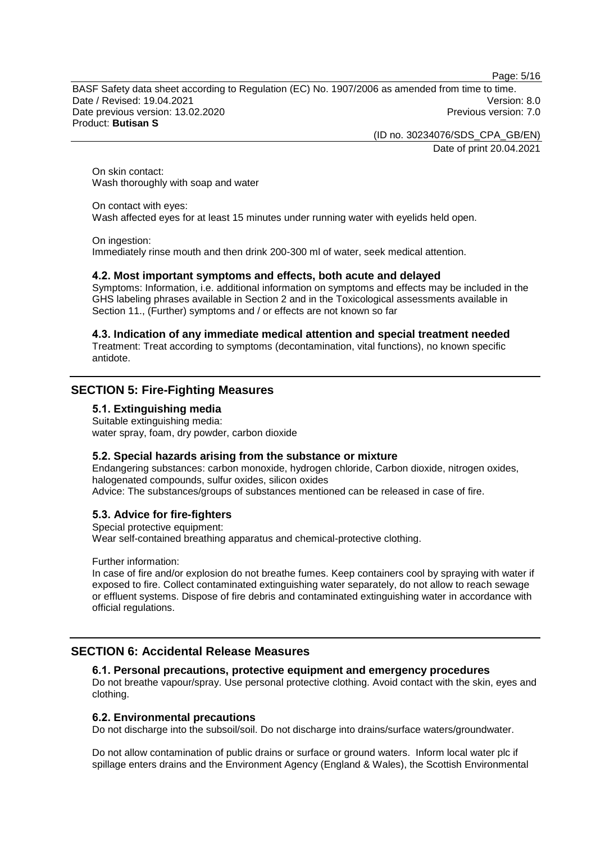Page: 5/16

BASF Safety data sheet according to Regulation (EC) No. 1907/2006 as amended from time to time. Date / Revised: 19.04.2021 Version: 8.0 Date previous version: 13.02.2020 **Previous version: 7.0** Previous version: 7.0 Product: **Butisan S**

(ID no. 30234076/SDS\_CPA\_GB/EN)

Date of print 20.04.2021

On skin contact: Wash thoroughly with soap and water

On contact with eyes: Wash affected eyes for at least 15 minutes under running water with eyelids held open.

On ingestion:

Immediately rinse mouth and then drink 200-300 ml of water, seek medical attention.

## **4.2. Most important symptoms and effects, both acute and delayed**

Symptoms: Information, i.e. additional information on symptoms and effects may be included in the GHS labeling phrases available in Section 2 and in the Toxicological assessments available in Section 11., (Further) symptoms and / or effects are not known so far

#### **4.3. Indication of any immediate medical attention and special treatment needed**

Treatment: Treat according to symptoms (decontamination, vital functions), no known specific antidote.

## **SECTION 5: Fire-Fighting Measures**

## **5.1. Extinguishing media**

Suitable extinguishing media: water spray, foam, dry powder, carbon dioxide

## **5.2. Special hazards arising from the substance or mixture**

Endangering substances: carbon monoxide, hydrogen chloride, Carbon dioxide, nitrogen oxides, halogenated compounds, sulfur oxides, silicon oxides Advice: The substances/groups of substances mentioned can be released in case of fire.

## **5.3. Advice for fire-fighters**

Special protective equipment: Wear self-contained breathing apparatus and chemical-protective clothing.

Further information:

In case of fire and/or explosion do not breathe fumes. Keep containers cool by spraying with water if exposed to fire. Collect contaminated extinguishing water separately, do not allow to reach sewage or effluent systems. Dispose of fire debris and contaminated extinguishing water in accordance with official regulations.

## **SECTION 6: Accidental Release Measures**

## **6.1. Personal precautions, protective equipment and emergency procedures**

Do not breathe vapour/spray. Use personal protective clothing. Avoid contact with the skin, eyes and clothing.

## **6.2. Environmental precautions**

Do not discharge into the subsoil/soil. Do not discharge into drains/surface waters/groundwater.

Do not allow contamination of public drains or surface or ground waters. Inform local water plc if spillage enters drains and the Environment Agency (England & Wales), the Scottish Environmental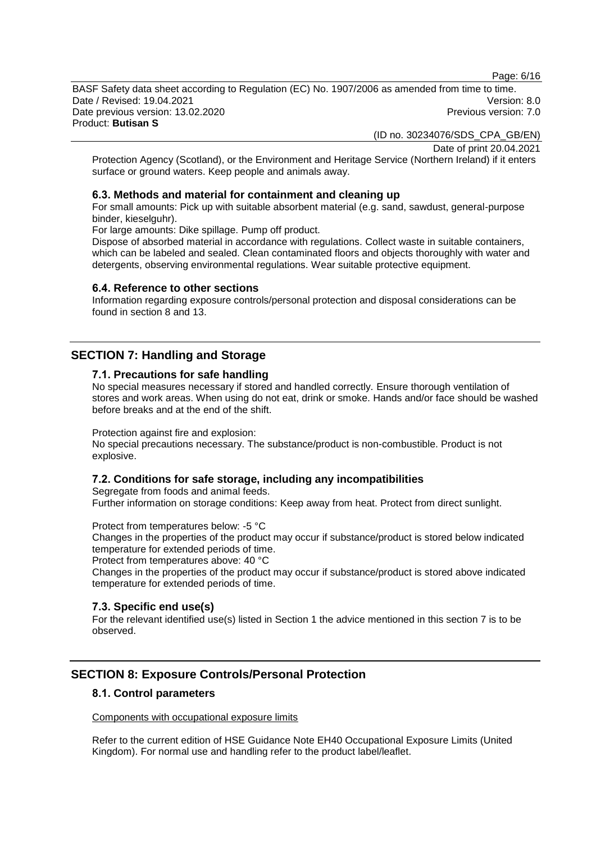Page: 6/16

BASF Safety data sheet according to Regulation (EC) No. 1907/2006 as amended from time to time. Date / Revised: 19.04.2021 Version: 8.0 Date previous version: 13.02.2020 **Previous version: 7.0** Previous version: 7.0 Product: **Butisan S**

(ID no. 30234076/SDS\_CPA\_GB/EN)

Date of print 20.04.2021

Protection Agency (Scotland), or the Environment and Heritage Service (Northern Ireland) if it enters surface or ground waters. Keep people and animals away.

#### **6.3. Methods and material for containment and cleaning up**

For small amounts: Pick up with suitable absorbent material (e.g. sand, sawdust, general-purpose binder, kieselguhr).

For large amounts: Dike spillage. Pump off product.

Dispose of absorbed material in accordance with regulations. Collect waste in suitable containers, which can be labeled and sealed. Clean contaminated floors and objects thoroughly with water and detergents, observing environmental regulations. Wear suitable protective equipment.

#### **6.4. Reference to other sections**

Information regarding exposure controls/personal protection and disposal considerations can be found in section 8 and 13.

# **SECTION 7: Handling and Storage**

#### **7.1. Precautions for safe handling**

No special measures necessary if stored and handled correctly. Ensure thorough ventilation of stores and work areas. When using do not eat, drink or smoke. Hands and/or face should be washed before breaks and at the end of the shift.

Protection against fire and explosion:

No special precautions necessary. The substance/product is non-combustible. Product is not explosive.

## **7.2. Conditions for safe storage, including any incompatibilities**

Segregate from foods and animal feeds. Further information on storage conditions: Keep away from heat. Protect from direct sunlight.

Protect from temperatures below: -5 °C

Changes in the properties of the product may occur if substance/product is stored below indicated temperature for extended periods of time.

Protect from temperatures above: 40 °C

Changes in the properties of the product may occur if substance/product is stored above indicated temperature for extended periods of time.

## **7.3. Specific end use(s)**

For the relevant identified use(s) listed in Section 1 the advice mentioned in this section 7 is to be observed.

## **SECTION 8: Exposure Controls/Personal Protection**

#### **8.1. Control parameters**

Components with occupational exposure limits

Refer to the current edition of HSE Guidance Note EH40 Occupational Exposure Limits (United Kingdom). For normal use and handling refer to the product label/leaflet.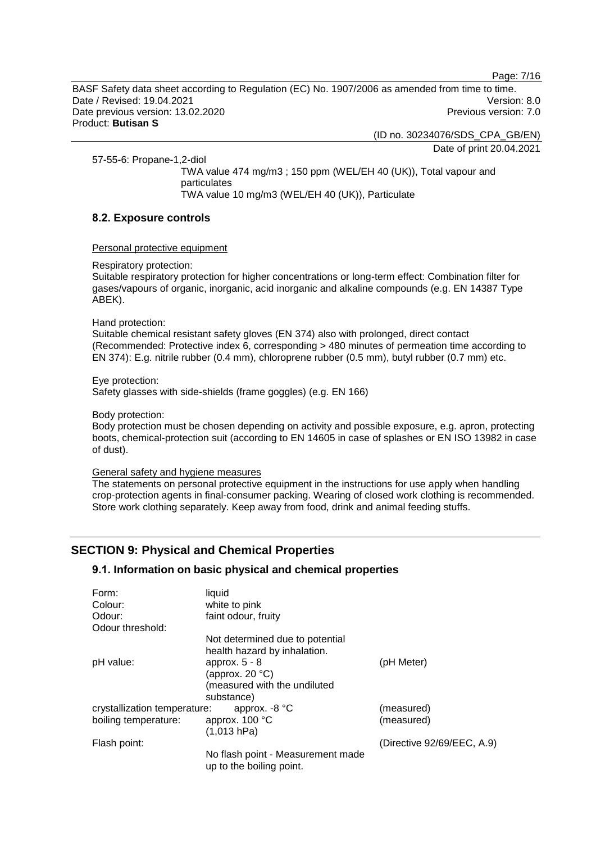Page: 7/16

BASF Safety data sheet according to Regulation (EC) No. 1907/2006 as amended from time to time. Date / Revised: 19.04.2021 Version: 8.0 Date previous version: 13.02.2020 **Previous version: 7.0** Previous version: 7.0 Product: **Butisan S**

(ID no. 30234076/SDS\_CPA\_GB/EN)

Date of print 20.04.2021

57-55-6: Propane-1,2-diol

TWA value 474 mg/m3 ; 150 ppm (WEL/EH 40 (UK)), Total vapour and particulates TWA value 10 mg/m3 (WEL/EH 40 (UK)), Particulate

## **8.2. Exposure controls**

#### Personal protective equipment

#### Respiratory protection:

Suitable respiratory protection for higher concentrations or long-term effect: Combination filter for gases/vapours of organic, inorganic, acid inorganic and alkaline compounds (e.g. EN 14387 Type ABEK).

Hand protection:

Suitable chemical resistant safety gloves (EN 374) also with prolonged, direct contact (Recommended: Protective index 6, corresponding > 480 minutes of permeation time according to EN 374): E.g. nitrile rubber (0.4 mm), chloroprene rubber (0.5 mm), butyl rubber (0.7 mm) etc.

Eye protection:

Safety glasses with side-shields (frame goggles) (e.g. EN 166)

Body protection:

Body protection must be chosen depending on activity and possible exposure, e.g. apron, protecting boots, chemical-protection suit (according to EN 14605 in case of splashes or EN ISO 13982 in case of dust).

#### General safety and hygiene measures

The statements on personal protective equipment in the instructions for use apply when handling crop-protection agents in final-consumer packing. Wearing of closed work clothing is recommended. Store work clothing separately. Keep away from food, drink and animal feeding stuffs.

# **SECTION 9: Physical and Chemical Properties**

## **9.1. Information on basic physical and chemical properties**

| Form:                        | liquid                                                        |                            |
|------------------------------|---------------------------------------------------------------|----------------------------|
| Colour:                      | white to pink                                                 |                            |
| Odour:                       | faint odour, fruity                                           |                            |
| Odour threshold:             |                                                               |                            |
|                              | Not determined due to potential                               |                            |
|                              | health hazard by inhalation.                                  |                            |
| pH value:                    | approx. $5 - 8$                                               | (pH Meter)                 |
|                              | (approx. 20 $°C$ )                                            |                            |
|                              | (measured with the undiluted                                  |                            |
|                              | substance)                                                    |                            |
| crystallization temperature: | approx. $-8$ °C                                               | (measured)                 |
| boiling temperature:         | approx. 100 °C                                                | (measured)                 |
|                              | (1,013 hPa)                                                   |                            |
| Flash point:                 |                                                               | (Directive 92/69/EEC, A.9) |
|                              | No flash point - Measurement made<br>up to the boiling point. |                            |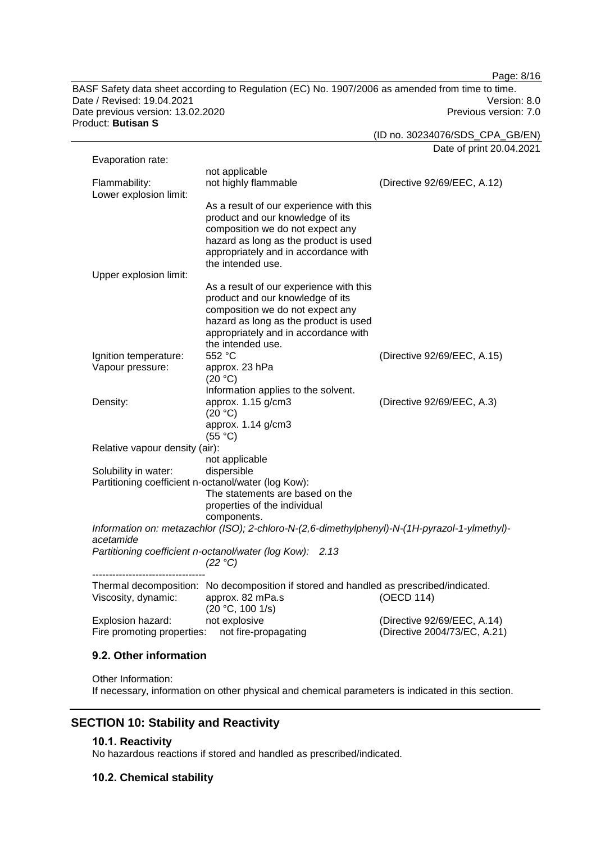Page: 8/16

BASF Safety data sheet according to Regulation (EC) No. 1907/2006 as amended from time to time. Date / Revised: 19.04.2021 Version: 8.0 Date previous version: 13.02.2020 **Previous version: 7.0** Previous version: 7.0 Product: **Butisan S**

(ID no. 30234076/SDS\_CPA\_GB/EN)

Date of print 20.04.2021 Evaporation rate: not applicable<br>not highly flammable Flammability: not highly flammable (Directive 92/69/EEC, A.12) Lower explosion limit: As a result of our experience with this product and our knowledge of its composition we do not expect any hazard as long as the product is used appropriately and in accordance with the intended use. Upper explosion limit: As a result of our experience with this product and our knowledge of its composition we do not expect any hazard as long as the product is used appropriately and in accordance with the intended use.<br>552 °C Ignition temperature: 552 °C (Directive 92/69/EEC, A.15) Vapour pressure: approx. 23 hPa  $(20 °C)$ Information applies to the solvent. Density: approx. 1.15 g/cm3 (20 °C) (Directive 92/69/EEC, A.3) approx. 1.14 g/cm3 (55 °C) Relative vapour density (air): not applicable Solubility in water: dispersible Partitioning coefficient n-octanol/water (log Kow): The statements are based on the properties of the individual components. *Information on: metazachlor (ISO); 2-chloro-N-(2,6-dimethylphenyl)-N-(1H-pyrazol-1-ylmethyl) acetamide Partitioning coefficient n-octanol/water (log Kow): 2.13 (22 °C)* ---------------------------------- Thermal decomposition: No decomposition if stored and handled as prescribed/indicated. Viscosity, dynamic: approx. 82 mPa.s  $(20 °C, 100 1/s)$ (OECD 114) Explosion hazard: not explosive (Directive 92/69/EEC, A.14) Fire promoting properties: not fire-propagating (Directive 2004/73/EC, A.21)

## **9.2. Other information**

Other Information: If necessary, information on other physical and chemical parameters is indicated in this section.

## **SECTION 10: Stability and Reactivity**

#### **10.1. Reactivity**

No hazardous reactions if stored and handled as prescribed/indicated.

## **10.2. Chemical stability**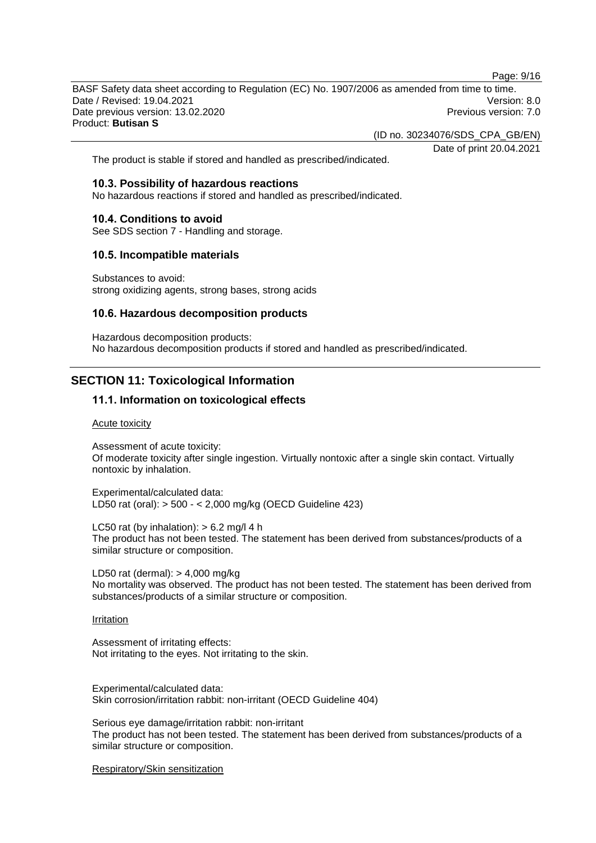Page: 9/16

BASF Safety data sheet according to Regulation (EC) No. 1907/2006 as amended from time to time. Date / Revised: 19.04.2021 **Version: 8.0** Date previous version: 13.02.2020 **Previous version: 7.0** Previous version: 7.0 Product: **Butisan S**

(ID no. 30234076/SDS\_CPA\_GB/EN)

Date of print 20.04.2021

The product is stable if stored and handled as prescribed/indicated.

#### **10.3. Possibility of hazardous reactions**

No hazardous reactions if stored and handled as prescribed/indicated.

#### **10.4. Conditions to avoid**

See SDS section 7 - Handling and storage.

#### **10.5. Incompatible materials**

Substances to avoid: strong oxidizing agents, strong bases, strong acids

#### **10.6. Hazardous decomposition products**

Hazardous decomposition products: No hazardous decomposition products if stored and handled as prescribed/indicated.

## **SECTION 11: Toxicological Information**

#### **11.1. Information on toxicological effects**

#### Acute toxicity

Assessment of acute toxicity: Of moderate toxicity after single ingestion. Virtually nontoxic after a single skin contact. Virtually nontoxic by inhalation.

Experimental/calculated data: LD50 rat (oral): > 500 - < 2,000 mg/kg (OECD Guideline 423)

LC50 rat (by inhalation):  $> 6.2$  mg/l 4 h The product has not been tested. The statement has been derived from substances/products of a similar structure or composition.

LD50 rat (dermal): > 4,000 mg/kg No mortality was observed. The product has not been tested. The statement has been derived from substances/products of a similar structure or composition.

#### Irritation

Assessment of irritating effects: Not irritating to the eyes. Not irritating to the skin.

Experimental/calculated data: Skin corrosion/irritation rabbit: non-irritant (OECD Guideline 404)

Serious eye damage/irritation rabbit: non-irritant The product has not been tested. The statement has been derived from substances/products of a similar structure or composition.

Respiratory/Skin sensitization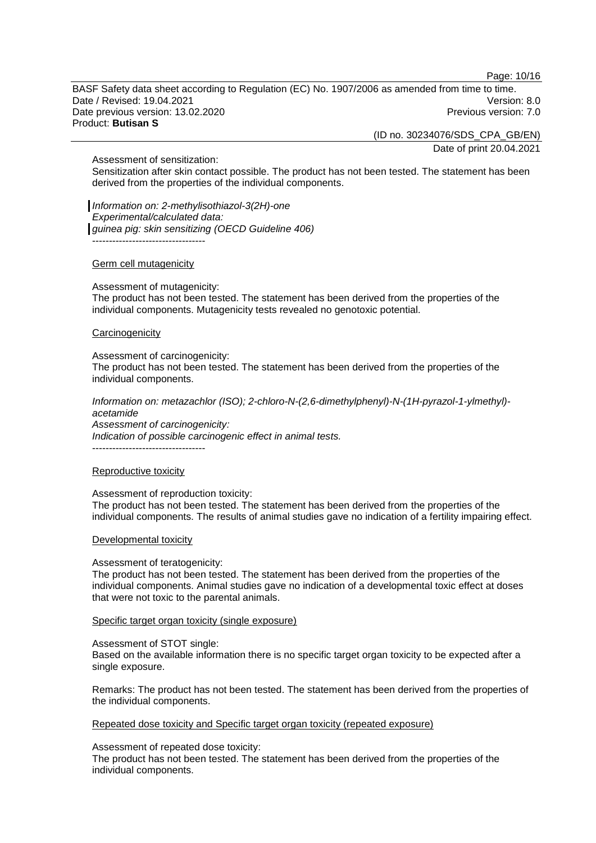Page: 10/16

BASF Safety data sheet according to Regulation (EC) No. 1907/2006 as amended from time to time. Date / Revised: 19.04.2021 Version: 8.0 Date previous version: 13.02.2020 **Previous version: 7.0** Previous version: 7.0 Product: **Butisan S**

(ID no. 30234076/SDS\_CPA\_GB/EN)

Date of print 20.04.2021

Assessment of sensitization:

Sensitization after skin contact possible. The product has not been tested. The statement has been derived from the properties of the individual components.

*Information on: 2-methylisothiazol-3(2H)-one Experimental/calculated data: guinea pig: skin sensitizing (OECD Guideline 406)* ----------------------------------

#### Germ cell mutagenicity

Assessment of mutagenicity:

The product has not been tested. The statement has been derived from the properties of the individual components. Mutagenicity tests revealed no genotoxic potential.

#### **Carcinogenicity**

Assessment of carcinogenicity:

The product has not been tested. The statement has been derived from the properties of the individual components.

*Information on: metazachlor (ISO); 2-chloro-N-(2,6-dimethylphenyl)-N-(1H-pyrazol-1-ylmethyl) acetamide Assessment of carcinogenicity:*

*Indication of possible carcinogenic effect in animal tests.*

----------------------------------

#### Reproductive toxicity

Assessment of reproduction toxicity:

The product has not been tested. The statement has been derived from the properties of the individual components. The results of animal studies gave no indication of a fertility impairing effect.

#### Developmental toxicity

#### Assessment of teratogenicity:

The product has not been tested. The statement has been derived from the properties of the individual components. Animal studies gave no indication of a developmental toxic effect at doses that were not toxic to the parental animals.

#### Specific target organ toxicity (single exposure)

Assessment of STOT single:

Based on the available information there is no specific target organ toxicity to be expected after a single exposure.

Remarks: The product has not been tested. The statement has been derived from the properties of the individual components.

Repeated dose toxicity and Specific target organ toxicity (repeated exposure)

Assessment of repeated dose toxicity:

The product has not been tested. The statement has been derived from the properties of the individual components.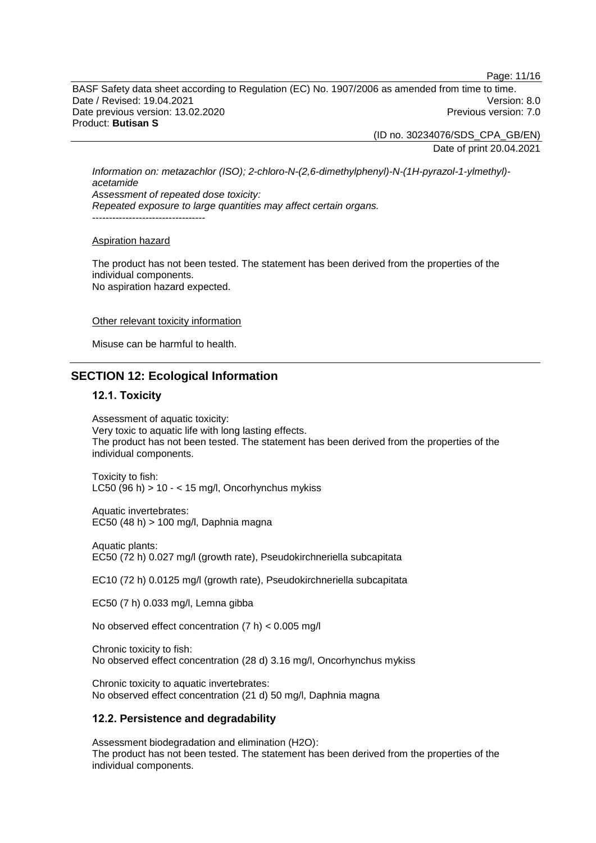Page: 11/16

BASF Safety data sheet according to Regulation (EC) No. 1907/2006 as amended from time to time. Date / Revised: 19.04.2021 **Version: 8.0** Date previous version: 13.02.2020 **Previous version: 7.0** Previous version: 7.0 Product: **Butisan S**

(ID no. 30234076/SDS\_CPA\_GB/EN)

Date of print 20.04.2021

*Information on: metazachlor (ISO); 2-chloro-N-(2,6-dimethylphenyl)-N-(1H-pyrazol-1-ylmethyl) acetamide Assessment of repeated dose toxicity: Repeated exposure to large quantities may affect certain organs.* ----------------------------------

#### Aspiration hazard

The product has not been tested. The statement has been derived from the properties of the individual components. No aspiration hazard expected.

#### Other relevant toxicity information

Misuse can be harmful to health.

## **SECTION 12: Ecological Information**

#### **12.1. Toxicity**

Assessment of aquatic toxicity: Very toxic to aquatic life with long lasting effects. The product has not been tested. The statement has been derived from the properties of the individual components.

Toxicity to fish: LC50 (96 h)  $> 10 - < 15$  mg/l, Oncorhynchus mykiss

Aquatic invertebrates: EC50 (48 h) > 100 mg/l, Daphnia magna

Aquatic plants: EC50 (72 h) 0.027 mg/l (growth rate), Pseudokirchneriella subcapitata

EC10 (72 h) 0.0125 mg/l (growth rate), Pseudokirchneriella subcapitata

EC50 (7 h) 0.033 mg/l, Lemna gibba

No observed effect concentration (7 h) < 0.005 mg/l

Chronic toxicity to fish: No observed effect concentration (28 d) 3.16 mg/l, Oncorhynchus mykiss

Chronic toxicity to aquatic invertebrates: No observed effect concentration (21 d) 50 mg/l, Daphnia magna

## **12.2. Persistence and degradability**

Assessment biodegradation and elimination (H2O): The product has not been tested. The statement has been derived from the properties of the individual components.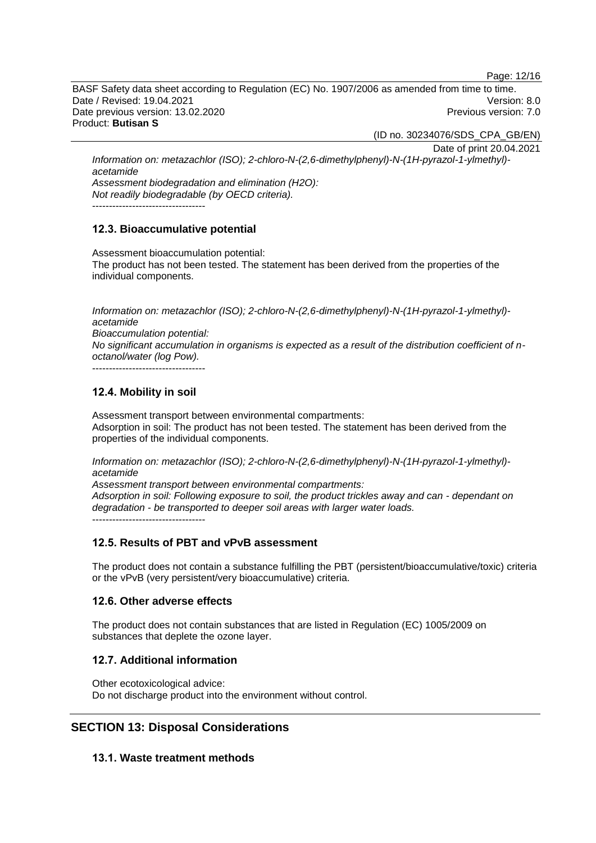Page: 12/16

BASF Safety data sheet according to Regulation (EC) No. 1907/2006 as amended from time to time. Date / Revised: 19.04.2021 **Version: 8.0** Date previous version: 13.02.2020 **Previous version: 7.0** Previous version: 7.0 Product: **Butisan S**

(ID no. 30234076/SDS\_CPA\_GB/EN)

Date of print 20.04.2021 *Information on: metazachlor (ISO); 2-chloro-N-(2,6-dimethylphenyl)-N-(1H-pyrazol-1-ylmethyl) acetamide Assessment biodegradation and elimination (H2O):*

*Not readily biodegradable (by OECD criteria).*

----------------------------------

## **12.3. Bioaccumulative potential**

Assessment bioaccumulation potential: The product has not been tested. The statement has been derived from the properties of the individual components.

*Information on: metazachlor (ISO); 2-chloro-N-(2,6-dimethylphenyl)-N-(1H-pyrazol-1-ylmethyl) acetamide Bioaccumulation potential:*

*No significant accumulation in organisms is expected as a result of the distribution coefficient of noctanol/water (log Pow).*

----------------------------------

## **12.4. Mobility in soil**

Assessment transport between environmental compartments: Adsorption in soil: The product has not been tested. The statement has been derived from the properties of the individual components.

*Information on: metazachlor (ISO); 2-chloro-N-(2,6-dimethylphenyl)-N-(1H-pyrazol-1-ylmethyl) acetamide*

*Assessment transport between environmental compartments: Adsorption in soil: Following exposure to soil, the product trickles away and can - dependant on degradation - be transported to deeper soil areas with larger water loads.* ----------------------------------

## **12.5. Results of PBT and vPvB assessment**

The product does not contain a substance fulfilling the PBT (persistent/bioaccumulative/toxic) criteria or the vPvB (very persistent/very bioaccumulative) criteria.

## **12.6. Other adverse effects**

The product does not contain substances that are listed in Regulation (EC) 1005/2009 on substances that deplete the ozone layer.

## **12.7. Additional information**

Other ecotoxicological advice: Do not discharge product into the environment without control.

# **SECTION 13: Disposal Considerations**

## **13.1. Waste treatment methods**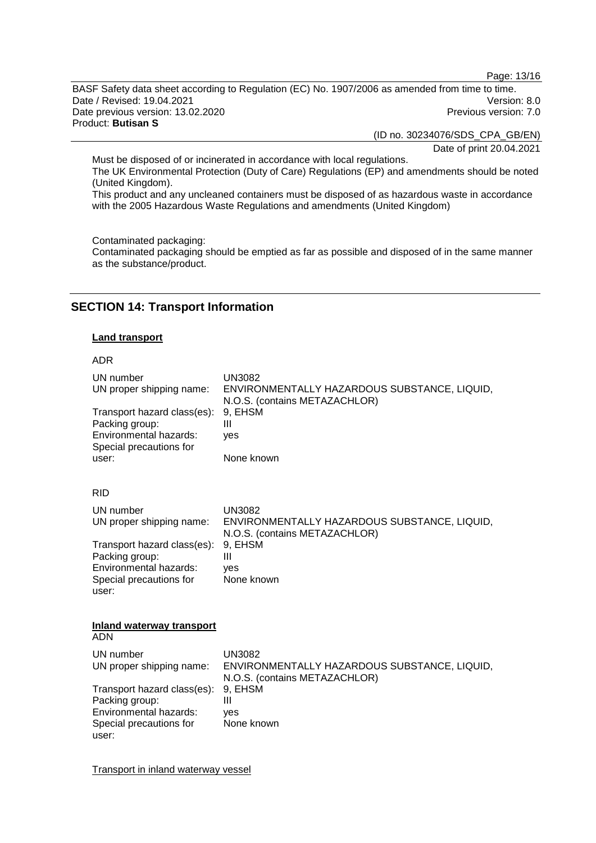Page: 13/16

BASF Safety data sheet according to Regulation (EC) No. 1907/2006 as amended from time to time. Date / Revised: 19.04.2021 Version: 8.0<br>Date previous version: 13.02.2020 Version: 7.0 Date previous version: 13.02.2020 Product: **Butisan S**

(ID no. 30234076/SDS\_CPA\_GB/EN)

Date of print 20.04.2021

Must be disposed of or incinerated in accordance with local regulations. The UK Environmental Protection (Duty of Care) Regulations (EP) and amendments should be noted (United Kingdom).

This product and any uncleaned containers must be disposed of as hazardous waste in accordance with the 2005 Hazardous Waste Regulations and amendments (United Kingdom)

Contaminated packaging:

Contaminated packaging should be emptied as far as possible and disposed of in the same manner as the substance/product.

# **SECTION 14: Transport Information**

#### **Land transport**

#### ADR

| UN number<br>UN proper shipping name:<br>Transport hazard class(es):<br>Packing group:<br>Environmental hazards:<br>Special precautions for<br>user: | <b>UN3082</b><br>ENVIRONMENTALLY HAZARDOUS SUBSTANCE, LIQUID,<br>N.O.S. (contains METAZACHLOR)<br>9, EHSM<br>Ш<br>ves<br>None known |  |
|------------------------------------------------------------------------------------------------------------------------------------------------------|-------------------------------------------------------------------------------------------------------------------------------------|--|
| <b>RID</b>                                                                                                                                           |                                                                                                                                     |  |
| UN number<br>UN proper shipping name:                                                                                                                | <b>UN3082</b><br>ENVIRONMENTALLY HAZARDOUS SUBSTANCE, LIQUID,<br>N.O.S. (contains METAZACHLOR)                                      |  |
| Transport hazard class(es):<br>Packing group:<br>Environmental hazards:<br>Special precautions for<br>user:                                          | 9, EHSM<br>$\mathbf{III}$<br>yes<br>None known                                                                                      |  |
| <b>Inland waterway transport</b><br><b>ADN</b>                                                                                                       |                                                                                                                                     |  |
| UN number<br>UN proper shipping name:                                                                                                                | <b>UN3082</b><br>ENVIRONMENTALLY HAZARDOUS SUBSTANCE, LIQUID,<br>N.O.S. (contains METAZACHLOR)                                      |  |
| Transport hazard class(es):<br>Packing group:<br>Environmental hazards:<br>Special precautions for<br>user:                                          | 9, EHSM<br>Ш<br><b>ves</b><br>None known                                                                                            |  |

Transport in inland waterway vessel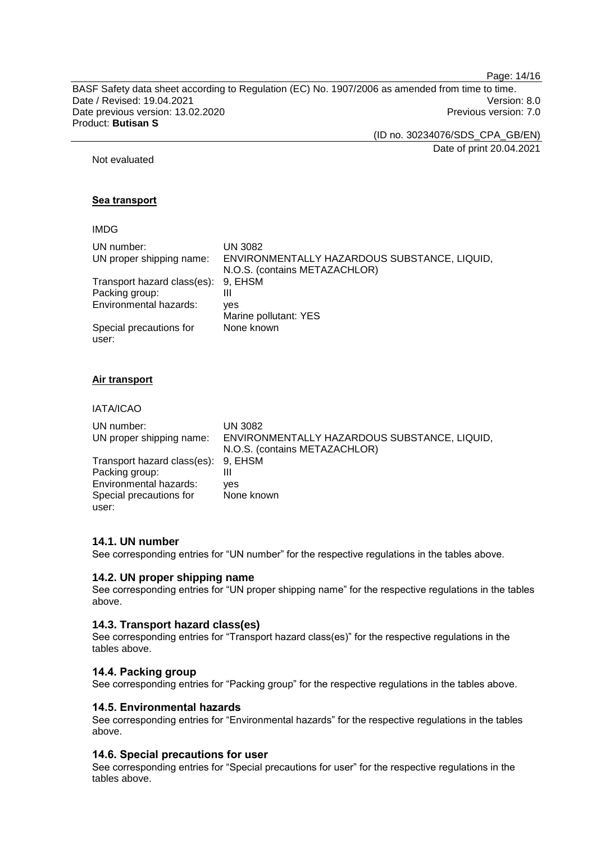Page: 14/16

BASF Safety data sheet according to Regulation (EC) No. 1907/2006 as amended from time to time. Date / Revised: 19.04.2021 Version: 8.0<br>Date previous version: 13.02.2020 Version: 7.0 Date previous version: 13.02.2020 Product: **Butisan S**

(ID no. 30234076/SDS\_CPA\_GB/EN)

Date of print 20.04.2021

Not evaluated

## **Sea transport**

## IMDG

| UN number:                  | <b>UN 3082</b>                               |
|-----------------------------|----------------------------------------------|
| UN proper shipping name:    | ENVIRONMENTALLY HAZARDOUS SUBSTANCE, LIQUID, |
|                             | N.O.S. (contains METAZACHLOR)                |
| Transport hazard class(es): | 9. EHSM                                      |
| Packing group:              | Ш                                            |
| Environmental hazards:      | ves                                          |
|                             | Marine pollutant: YES                        |
| Special precautions for     | None known                                   |
| user:                       |                                              |

## **Air transport**

IATA/ICAO

| UN number:<br>UN proper shipping name: | <b>UN 3082</b><br>ENVIRONMENTALLY HAZARDOUS SUBSTANCE, LIQUID,<br>N.O.S. (contains METAZACHLOR) |
|----------------------------------------|-------------------------------------------------------------------------------------------------|
| Transport hazard class(es): 9, EHSM    |                                                                                                 |
| Packing group:                         | Ш                                                                                               |
| Environmental hazards:                 | ves                                                                                             |
| Special precautions for                | None known                                                                                      |
| user:                                  |                                                                                                 |

## **14.1. UN number**

See corresponding entries for "UN number" for the respective regulations in the tables above.

#### **14.2. UN proper shipping name**

See corresponding entries for "UN proper shipping name" for the respective regulations in the tables above.

## **14.3. Transport hazard class(es)**

See corresponding entries for "Transport hazard class(es)" for the respective regulations in the tables above.

## **14.4. Packing group**

See corresponding entries for "Packing group" for the respective regulations in the tables above.

## **14.5. Environmental hazards**

See corresponding entries for "Environmental hazards" for the respective regulations in the tables above.

## **14.6. Special precautions for user**

See corresponding entries for "Special precautions for user" for the respective regulations in the tables above.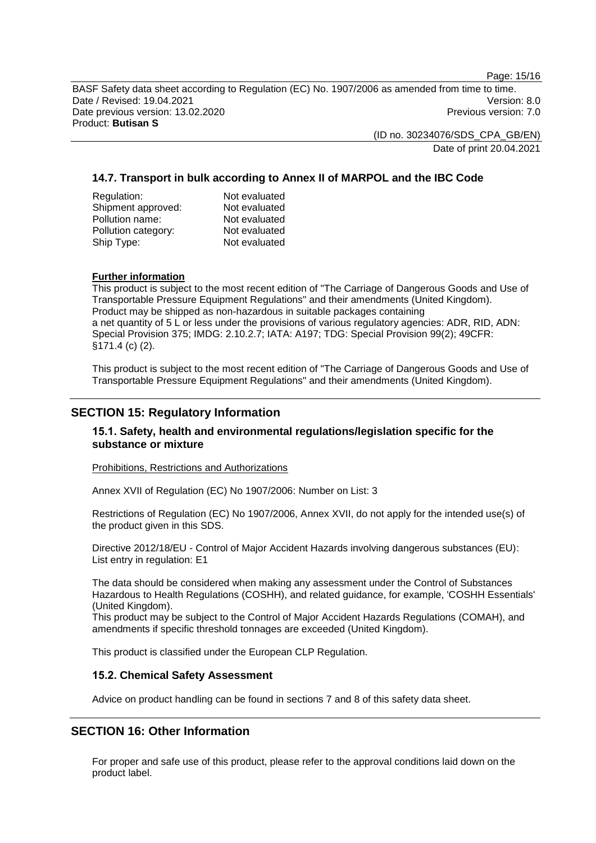Page: 15/16

BASF Safety data sheet according to Regulation (EC) No. 1907/2006 as amended from time to time. Date / Revised: 19.04.2021 Version: 8.0 Date previous version: 13.02.2020 **Previous version: 7.0** Previous version: 7.0 Product: **Butisan S**

> (ID no. 30234076/SDS\_CPA\_GB/EN) Date of print 20.04.2021

## **14.7. Transport in bulk according to Annex II of MARPOL and the IBC Code**

| Regulation:         | Not evaluated |
|---------------------|---------------|
| Shipment approved:  | Not evaluated |
| Pollution name:     | Not evaluated |
| Pollution category: | Not evaluated |
| Ship Type:          | Not evaluated |

#### **Further information**

This product is subject to the most recent edition of "The Carriage of Dangerous Goods and Use of Transportable Pressure Equipment Regulations" and their amendments (United Kingdom). Product may be shipped as non-hazardous in suitable packages containing a net quantity of 5 L or less under the provisions of various regulatory agencies: ADR, RID, ADN: Special Provision 375; IMDG: 2.10.2.7; IATA: A197; TDG: Special Provision 99(2); 49CFR: §171.4 (c) (2).

This product is subject to the most recent edition of "The Carriage of Dangerous Goods and Use of Transportable Pressure Equipment Regulations" and their amendments (United Kingdom).

# **SECTION 15: Regulatory Information**

## **15.1. Safety, health and environmental regulations/legislation specific for the substance or mixture**

Prohibitions, Restrictions and Authorizations

Annex XVII of Regulation (EC) No 1907/2006: Number on List: 3

Restrictions of Regulation (EC) No 1907/2006, Annex XVII, do not apply for the intended use(s) of the product given in this SDS.

Directive 2012/18/EU - Control of Major Accident Hazards involving dangerous substances (EU): List entry in regulation: E1

The data should be considered when making any assessment under the Control of Substances Hazardous to Health Regulations (COSHH), and related guidance, for example, 'COSHH Essentials' (United Kingdom).

This product may be subject to the Control of Major Accident Hazards Regulations (COMAH), and amendments if specific threshold tonnages are exceeded (United Kingdom).

This product is classified under the European CLP Regulation.

## **15.2. Chemical Safety Assessment**

Advice on product handling can be found in sections 7 and 8 of this safety data sheet.

# **SECTION 16: Other Information**

For proper and safe use of this product, please refer to the approval conditions laid down on the product label.